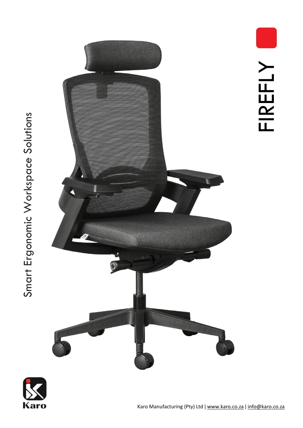





FIREFLY